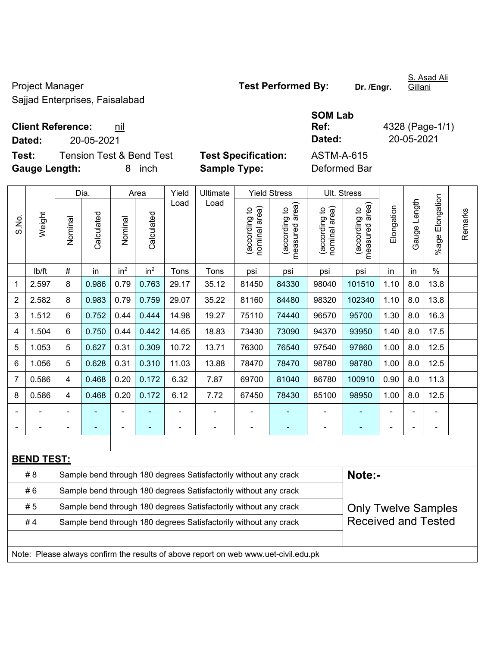Project Manager **Test Performed By:** Dr. /Engr. Sajjad Enterprises, Faisalabad

**Test:** Tension Test & Bend Test Test Specification **Gauge Length:** 8 inch **Sample Type:** Deformed Bar

 $\mathbf{r}$ 

|        |                                 |                            | <b>SOM Lab</b> |              |
|--------|---------------------------------|----------------------------|----------------|--------------|
|        | <b>Client Reference:</b><br>nıl |                            | Ref:           | 4328 (Page-1 |
| Dated: | 20-05-2021                      |                            | Dated:         | 20-05-2021   |
| Test:  | Tension Test & Bend Test        | <b>Test Specification:</b> | ASTM-A-615     |              |

**Ref:** 4328 (Page-1/1)

|                  |                   |                                                                            | Dia.                                                             |                 | Area            | Yield | Ultimate                                                         |                                   | <b>Yield Stress</b>                |                                | Ult. Stress                     |                |              |                 |         |
|------------------|-------------------|----------------------------------------------------------------------------|------------------------------------------------------------------|-----------------|-----------------|-------|------------------------------------------------------------------|-----------------------------------|------------------------------------|--------------------------------|---------------------------------|----------------|--------------|-----------------|---------|
| S.No.            | Weight            | Nominal                                                                    | Calculated                                                       | Nominal         | Calculated      | Load  | Load                                                             | area)<br>(according to<br>nominal | area)<br>(according to<br>measured | nominal area)<br>(according to | measured area)<br>(according to | Elongation     | Gauge Length | %age Elongation | Remarks |
|                  | lb/ft             | #                                                                          | in                                                               | in <sup>2</sup> | in <sup>2</sup> | Tons  | Tons                                                             | psi                               | psi                                | psi                            | psi                             | in             | in           | $\frac{0}{0}$   |         |
| 1                | 2.597             | 8                                                                          | 0.986                                                            | 0.79            | 0.763           | 29.17 | 35.12                                                            | 81450                             | 84330                              | 98040                          | 101510                          | 1.10           | 8.0          | 13.8            |         |
| $\boldsymbol{2}$ | 2.582             | 8                                                                          | 0.983                                                            | 0.79            | 0.759           | 29.07 | 35.22                                                            | 81160                             | 84480                              | 98320                          | 102340                          | 1.10           | 8.0          | 13.8            |         |
| 3                | 1.512             | 6                                                                          | 0.752                                                            | 0.44            | 0.444           | 14.98 | 19.27                                                            | 75110                             | 74440                              | 96570                          | 95700                           | 1.30           | 8.0          | 16.3            |         |
| 4                | 1.504             | 6                                                                          | 0.750                                                            | 0.44            | 0.442           | 14.65 | 18.83                                                            | 73430                             | 73090                              | 94370                          | 93950                           | 1.40           | 8.0          | 17.5            |         |
| 5                | 1.053             | 5                                                                          | 0.627                                                            | 0.31            | 0.309           | 10.72 | 13.71                                                            | 76300                             | 76540                              | 97540                          | 97860                           | 1.00           | 8.0          | 12.5            |         |
| 6                | 1.056             | 5                                                                          | 0.628                                                            | 0.31            | 0.310           | 11.03 | 13.88                                                            | 78470                             | 78470                              | 98780                          | 98780                           | 1.00           | 8.0          | 12.5            |         |
| $\overline{7}$   | 0.586             | 4                                                                          | 0.468                                                            | 0.20            | 0.172           | 6.32  | 7.87                                                             | 69700                             | 81040                              | 86780                          | 100910                          | 0.90           | 8.0          | 11.3            |         |
| 8                | 0.586             | 4                                                                          | 0.468                                                            | 0.20            | 0.172           | 6.12  | 7.72                                                             | 67450                             | 78430                              | 85100                          | 98950                           | 1.00           | 8.0          | 12.5            |         |
| $\blacksquare$   |                   | $\blacksquare$                                                             |                                                                  | $\blacksquare$  | L,              | ä,    | $\overline{a}$                                                   | $\blacksquare$                    | $\blacksquare$                     | ÷                              | $\blacksquare$                  | $\blacksquare$ |              | $\blacksquare$  |         |
|                  |                   |                                                                            |                                                                  |                 | ä,              | ÷     | $\overline{a}$                                                   | $\overline{a}$                    | $\blacksquare$                     |                                | ÷                               |                |              | $\blacksquare$  |         |
|                  |                   |                                                                            |                                                                  |                 |                 |       |                                                                  |                                   |                                    |                                |                                 |                |              |                 |         |
|                  | <b>BEND TEST:</b> |                                                                            |                                                                  |                 |                 |       |                                                                  |                                   |                                    |                                |                                 |                |              |                 |         |
|                  | #8                | Note:-<br>Sample bend through 180 degrees Satisfactorily without any crack |                                                                  |                 |                 |       |                                                                  |                                   |                                    |                                |                                 |                |              |                 |         |
|                  | #6                |                                                                            | Sample bend through 180 degrees Satisfactorily without any crack |                 |                 |       |                                                                  |                                   |                                    |                                |                                 |                |              |                 |         |
|                  | #5                |                                                                            |                                                                  |                 |                 |       | Sample bend through 180 degrees Satisfactorily without any crack |                                   |                                    |                                | <b>Only Twelve Samples</b>      |                |              |                 |         |
|                  | #4                |                                                                            |                                                                  |                 |                 |       | Sample bend through 180 degrees Satisfactorily without any crack |                                   |                                    |                                | <b>Received and Tested</b>      |                |              |                 |         |
|                  |                   |                                                                            |                                                                  |                 |                 |       |                                                                  |                                   |                                    |                                |                                 |                |              |                 |         |
|                  |                   |                                                                            |                                                                  |                 |                 |       |                                                                  |                                   |                                    |                                |                                 |                |              |                 |         |

Note: Please always confirm the results of above report on web www.uet-civil.edu.pk

S. Asad Ali **Gillani**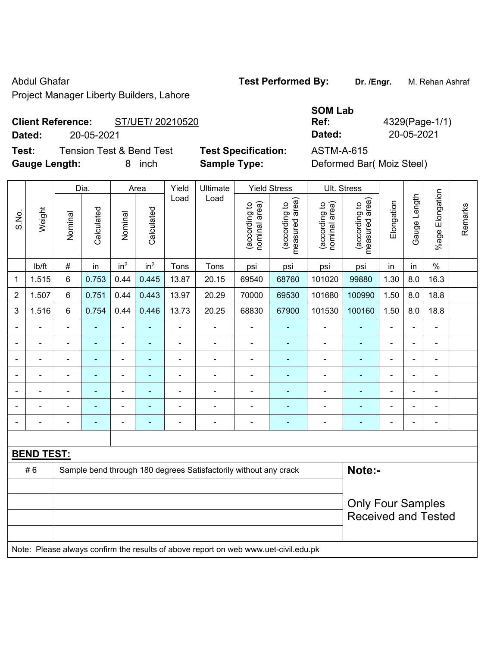Project Manager Liberty Builders, Lahore

# **Client Reference:** ST/UET/ 20210520

**Dated:** 20-05-2021 **Dated:** 20-05-2021

**Test:** Tension Test & Bend Test **Test Specification:** ASTM-A-615 **Gauge Length:** 8 inch **Sample Type:** Deformed Bar( Moiz Steel)

|                | --------------- |                          |            |                 | $ \cdot $       | --------- - <i>- -</i> --- |          |                                | $500$ $\ldots$ $500$ $\ldots$ $500$ $\ldots$ |                                |                                    |            |                 |                       |         |
|----------------|-----------------|--------------------------|------------|-----------------|-----------------|----------------------------|----------|--------------------------------|----------------------------------------------|--------------------------------|------------------------------------|------------|-----------------|-----------------------|---------|
|                |                 |                          | Dia.       |                 | Area            | Yield                      | Ultimate |                                | <b>Yield Stress</b>                          |                                | Ult. Stress                        |            |                 |                       |         |
| S.No.          | Weight          | Nominal                  | Calculated | Nominal         | Calculated      | Load                       | Load     | nominal area)<br>(according to | area)<br>(according to<br>measured           | nominal area)<br>(according to | area)<br>(according to<br>measured | Elongation | Length<br>Gauge | Elongation<br>$%$ age | Remarks |
|                | lb/ft           | #                        | in         | in <sup>2</sup> | in <sup>2</sup> | Tons                       | Tons     | psi                            | psi                                          | psi                            | psi                                | in         | in              | $\%$                  |         |
| $\mathbf 1$    | 1.515           | 6                        | 0.753      | 0.44            | 0.445           | 13.87                      | 20.15    | 69540                          | 68760                                        | 101020                         | 99880                              | 1.30       | 8.0             | 16.3                  |         |
| $\overline{2}$ | 1.507           | 6                        | 0.751      | 0.44            | 0.443           | 13.97                      | 20.29    | 70000                          | 69530                                        | 101680                         | 100990                             | 1.50       | 8.0             | 18.8                  |         |
| 3              | 1.516           | 6                        | 0.754      | 0.44            | 0.446           | 13.73                      | 20.25    | 68830                          | 67900                                        | 101530                         | 100160                             | 1.50       | 8.0             | 18.8                  |         |
|                |                 |                          |            |                 |                 |                            |          |                                |                                              |                                |                                    |            |                 |                       |         |
|                |                 |                          |            |                 |                 |                            |          |                                |                                              |                                |                                    |            |                 |                       |         |
|                |                 |                          |            |                 |                 |                            |          |                                |                                              |                                |                                    |            |                 |                       |         |
|                |                 |                          |            |                 |                 |                            |          |                                |                                              |                                |                                    |            |                 |                       |         |
|                |                 | $\overline{\phantom{0}}$ |            |                 |                 |                            |          |                                |                                              |                                |                                    |            |                 |                       |         |
|                |                 |                          |            |                 |                 |                            |          |                                |                                              |                                |                                    |            |                 |                       |         |

**BEND TEST:**  #6 Sample bend through 180 degrees Satisfactorily without any crack **Note:**-Only Four Samples Received and Tested Note: Please always confirm the results of above report on web www.uet-civil.edu.pk

- - - - - - - - - - - - - - -

Abdul Ghafar **Test Performed By:** Dr. /Engr. M. Rehan Ashraf

**SOM Lab Ref:** 4329(Page-1/1)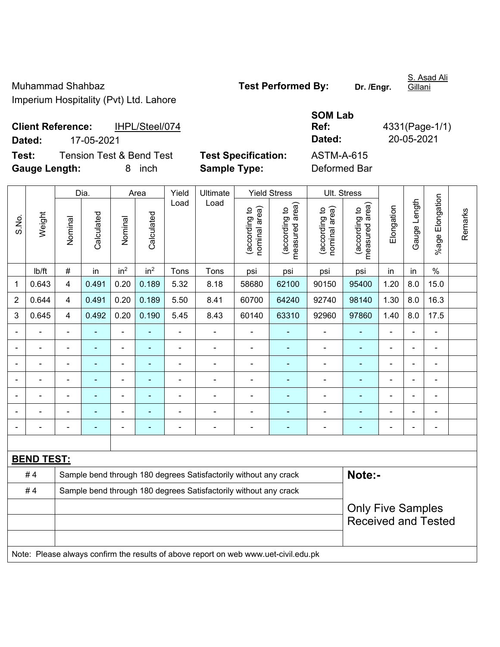Muhammad Shahbaz **Test Performed By:** Dr. /Engr. Imperium Hospitality (Pvt) Ltd. Lahore

S. Asad Ali Gillani

**Client Reference:** IHPL/Steel/074 **Dated:** 17-05-2021 **Dated:** 20-05-2021 **Test:** Tension Test & Bend Test Test Specification:

| <b>SOM Lab</b> |                |
|----------------|----------------|
| Ref:           | 4331(Page-1/1) |
| Dated:         | 20-05-2021     |
| ASTM-A-615     |                |
| $\sim$ $\sim$  |                |

**Gauge Length:** 8 inch **Sample Type:** Deformed Bar

|                |                   |                         | Dia.                                                             |                 | Area            | Yield          | Ultimate                                                                            |                                | <b>Yield Stress</b>             |                                | Ult. Stress                                            |                |                |                          |         |
|----------------|-------------------|-------------------------|------------------------------------------------------------------|-----------------|-----------------|----------------|-------------------------------------------------------------------------------------|--------------------------------|---------------------------------|--------------------------------|--------------------------------------------------------|----------------|----------------|--------------------------|---------|
| S.No.          | Weight            | Nominal                 | Calculated                                                       | Nominal         | Calculated      | Load           | Load                                                                                | nominal area)<br>(according to | (according to<br>measured area) | nominal area)<br>(according to | (according to<br>measured area)                        | Elongation     | Gauge Length   | Elongation<br>%agel      | Remarks |
|                | Ib/ft             | $\#$                    | in                                                               | in <sup>2</sup> | in <sup>2</sup> | Tons           | Tons                                                                                | psi                            | psi                             | psi                            | psi                                                    | in             | in             | $\%$                     |         |
| 1              | 0.643             | $\overline{\mathbf{4}}$ | 0.491                                                            | 0.20            | 0.189           | 5.32           | 8.18                                                                                | 58680                          | 62100                           | 90150                          | 95400                                                  | 1.20           | 8.0            | 15.0                     |         |
| $\overline{2}$ | 0.644             | $\overline{4}$          | 0.491                                                            | 0.20            | 0.189           | 5.50           | 8.41                                                                                | 60700                          | 64240                           | 92740                          | 98140                                                  | 1.30           | 8.0            | 16.3                     |         |
| 3              | 0.645             | $\overline{\mathbf{4}}$ | 0.492                                                            | 0.20            | 0.190           | 5.45           | 8.43                                                                                | 60140                          | 63310                           | 92960                          | 97860                                                  | 1.40           | 8.0            | 17.5                     |         |
|                |                   | $\blacksquare$          | L,                                                               | $\blacksquare$  |                 | $\blacksquare$ | L,                                                                                  | ÷,                             | ä,                              | ÷,                             | $\blacksquare$                                         | ä,             |                | $\blacksquare$           |         |
|                |                   |                         | ÷,                                                               | ÷,              |                 | ä,             | ä,                                                                                  | ä,                             | ٠                               | $\blacksquare$                 | ä,                                                     | $\blacksquare$ |                | ÷,                       |         |
|                |                   |                         |                                                                  | ۰               |                 |                |                                                                                     |                                |                                 |                                |                                                        |                |                | $\blacksquare$           |         |
|                |                   |                         | $\blacksquare$                                                   | $\blacksquare$  |                 |                | L.                                                                                  | $\blacksquare$                 | $\blacksquare$                  | $\blacksquare$                 | $\blacksquare$                                         | $\blacksquare$ |                | $\blacksquare$           |         |
|                | $\blacksquare$    | $\blacksquare$          | ÷,                                                               | $\blacksquare$  |                 | Ě.             | ÷                                                                                   | ä,                             | $\blacksquare$                  | $\qquad \qquad \blacksquare$   | $\blacksquare$                                         | ä,             | $\blacksquare$ | $\overline{\phantom{a}}$ |         |
|                |                   |                         | ÷                                                                | ۰               |                 | Ē,             | ÷                                                                                   | ÷                              | $\blacksquare$                  | $\blacksquare$                 | ٠                                                      | $\blacksquare$ |                | $\blacksquare$           |         |
|                | $\blacksquare$    | $\blacksquare$          | $\blacksquare$                                                   | ÷,              |                 | $\blacksquare$ | ÷                                                                                   | ÷                              | $\blacksquare$                  | $\blacksquare$                 | ٠                                                      | $\blacksquare$ |                | $\overline{\phantom{a}}$ |         |
|                |                   |                         |                                                                  |                 |                 |                |                                                                                     |                                |                                 |                                |                                                        |                |                |                          |         |
|                | <b>BEND TEST:</b> |                         |                                                                  |                 |                 |                |                                                                                     |                                |                                 |                                |                                                        |                |                |                          |         |
|                | #4                |                         |                                                                  |                 |                 |                | Sample bend through 180 degrees Satisfactorily without any crack                    |                                |                                 |                                | Note:-                                                 |                |                |                          |         |
|                | #4                |                         | Sample bend through 180 degrees Satisfactorily without any crack |                 |                 |                |                                                                                     |                                |                                 |                                |                                                        |                |                |                          |         |
|                |                   |                         |                                                                  |                 |                 |                |                                                                                     |                                |                                 |                                | <b>Only Five Samples</b><br><b>Received and Tested</b> |                |                |                          |         |
|                |                   |                         |                                                                  |                 |                 |                |                                                                                     |                                |                                 |                                |                                                        |                |                |                          |         |
|                |                   |                         |                                                                  |                 |                 |                | Note: Please always confirm the results of above report on web www.uet-civil.edu.pk |                                |                                 |                                |                                                        |                |                |                          |         |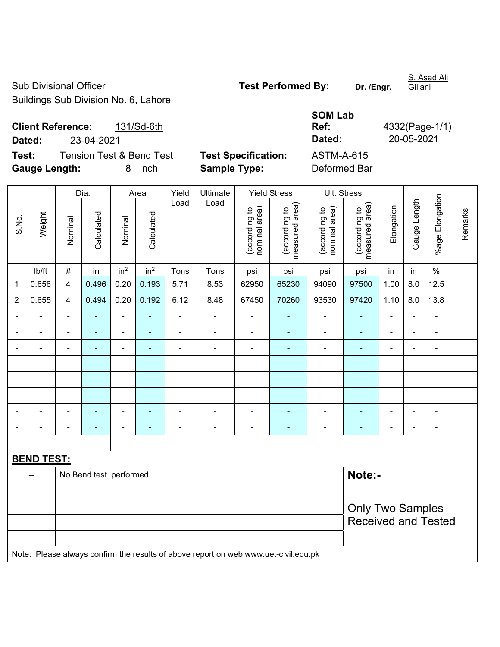Sub Divisional Officer **Test Performed By:** Dr. /Engr. Buildings Sub Division No. 6, Lahore

**Client Reference:** 131/Sd-6th **Dated:** 23-04-2021 **Dated:** 20-05-2021 **Test:** Tension Test & Bend Test **Test Specification:** 

**Gauge Length:** 8 inch **Sample Type:** Deformed Bar

| 4332(Page-1/1) |
|----------------|
| 20-05-2021     |
|                |
|                |

|                |                          |                | Dia.                   |                 | Area            | Yield<br>Ultimate |                                                                                     | <b>Yield Stress</b>            |                                 | Ult. Stress                    |                                 |                          |                |                              |         |
|----------------|--------------------------|----------------|------------------------|-----------------|-----------------|-------------------|-------------------------------------------------------------------------------------|--------------------------------|---------------------------------|--------------------------------|---------------------------------|--------------------------|----------------|------------------------------|---------|
| S.No.          | Weight                   | Nominal        | Calculated             | Nominal         | Calculated      | Load              | Load                                                                                | (according to<br>nominal area) | measured area)<br>(according to | (according to<br>nominal area) | (according to<br>measured area) | Elongation               | Gauge Length   | %age Elongation              | Remarks |
|                | lb/ft                    | $\#$           | in                     | in <sup>2</sup> | in <sup>2</sup> | Tons              | Tons                                                                                | psi                            | psi                             | psi                            | psi                             | in                       | in             | $\%$                         |         |
| 1              | 0.656                    | 4              | 0.496                  | 0.20            | 0.193           | 5.71              | 8.53                                                                                | 62950                          | 65230                           | 94090                          | 97500                           | 1.00                     | 8.0            | 12.5                         |         |
| $\overline{2}$ | 0.655                    | 4              | 0.494                  | 0.20            | 0.192           | 6.12              | 8.48                                                                                | 67450                          | 70260                           | 93530                          | 97420                           | 1.10                     | 8.0            | 13.8                         |         |
| $\blacksquare$ | L.                       | $\blacksquare$ | $\blacksquare$         | $\blacksquare$  | $\blacksquare$  | $\overline{a}$    | L.                                                                                  | $\blacksquare$                 | ä,                              | $\blacksquare$                 | $\blacksquare$                  | $\overline{a}$           | $\blacksquare$ | ÷,                           |         |
| $\blacksquare$ | Ξ.                       | $\blacksquare$ | $\blacksquare$         | $\blacksquare$  | ٠               | $\blacksquare$    | ÷                                                                                   | $\blacksquare$                 | $\blacksquare$                  | $\overline{\phantom{a}}$       | $\blacksquare$                  | $\blacksquare$           | $\blacksquare$ | ۰                            |         |
| $\blacksquare$ | ä,                       | $\blacksquare$ | $\blacksquare$         | $\blacksquare$  | $\blacksquare$  | $\blacksquare$    | $\overline{\phantom{a}}$                                                            | $\blacksquare$                 | $\blacksquare$                  | $\overline{\phantom{a}}$       | ٠                               | $\blacksquare$           | $\blacksquare$ | $\qquad \qquad \blacksquare$ |         |
| ٠              | $\overline{\phantom{0}}$ | $\blacksquare$ | $\blacksquare$         | $\blacksquare$  | $\blacksquare$  | $\blacksquare$    | -                                                                                   | $\blacksquare$                 | ÷,                              | $\blacksquare$                 | $\blacksquare$                  | $\overline{\phantom{a}}$ | $\frac{1}{2}$  | $\overline{\phantom{0}}$     |         |
| $\blacksquare$ | $\blacksquare$           | $\blacksquare$ | $\blacksquare$         | $\blacksquare$  | $\blacksquare$  | $\blacksquare$    | $\blacksquare$                                                                      | $\blacksquare$                 | $\blacksquare$                  | $\blacksquare$                 | $\blacksquare$                  | $\blacksquare$           | $\blacksquare$ | ÷,                           |         |
| $\blacksquare$ | ÷                        | $\blacksquare$ | ÷,                     | $\blacksquare$  | ÷               | $\blacksquare$    | $\blacksquare$                                                                      | $\blacksquare$                 | ÷,                              | ÷,                             | ä,                              | $\blacksquare$           | $\blacksquare$ | ÷                            |         |
|                |                          |                |                        |                 |                 | L,                | ä,                                                                                  | ä,                             | ä,                              | $\blacksquare$                 | ä,                              | L,                       |                | $\blacksquare$               |         |
|                |                          |                |                        |                 | ٠               | ÷                 | $\blacksquare$                                                                      | ٠                              | $\overline{\phantom{0}}$        | $\blacksquare$                 | $\blacksquare$                  | $\blacksquare$           |                | $\qquad \qquad \blacksquare$ |         |
|                |                          |                |                        |                 |                 |                   |                                                                                     |                                |                                 |                                |                                 |                          |                |                              |         |
|                | <b>BEND TEST:</b>        |                |                        |                 |                 |                   |                                                                                     |                                |                                 |                                |                                 |                          |                |                              |         |
|                | --                       |                | No Bend test performed |                 |                 |                   |                                                                                     |                                |                                 |                                | Note:-                          |                          |                |                              |         |
|                |                          |                |                        |                 |                 |                   |                                                                                     |                                |                                 |                                |                                 |                          |                |                              |         |
|                |                          |                |                        |                 |                 |                   |                                                                                     |                                |                                 |                                | <b>Only Two Samples</b>         |                          |                |                              |         |
|                |                          |                |                        |                 |                 |                   |                                                                                     |                                |                                 |                                | <b>Received and Tested</b>      |                          |                |                              |         |
|                |                          |                |                        |                 |                 |                   |                                                                                     |                                |                                 |                                |                                 |                          |                |                              |         |
|                |                          |                |                        |                 |                 |                   | Note: Please always confirm the results of above report on web www.uet-civil.edu.pk |                                |                                 |                                |                                 |                          |                |                              |         |

S. Asad Ali Gillani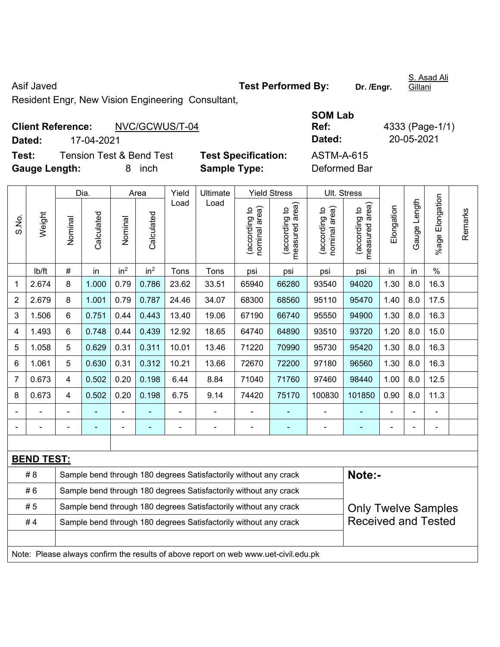Asif Javed **Test Performed By:** Dr. /Engr.

S. Asad Ali Gillani

Resident Engr, New Vision Engineering Consultant,

| <b>Client Reference:</b> |                                     |   | NVC/GCWUS/T-04 |                            | Ref:              |
|--------------------------|-------------------------------------|---|----------------|----------------------------|-------------------|
| Dated:                   | 17-04-2021                          |   |                |                            | Dated:            |
| Test:                    | <b>Tension Test &amp; Bend Test</b> |   |                | <b>Test Specification:</b> | <b>ASTM-A-615</b> |
| <b>Gauge Length:</b>     |                                     | 8 | inch           | <b>Sample Type:</b>        | Deformed Bar      |

**SOM Lab Ref:** 4333 (Page-1/1) **Dated:** 17-04-2021 **Dated:** 20-05-2021

|                |                                                                                     |         | Dia.                                                             |                 | Area            | Yield | Ultimate                                                         |                                | <b>Yield Stress</b>                         |                                | Ult. Stress                     |                |              |                           |         |
|----------------|-------------------------------------------------------------------------------------|---------|------------------------------------------------------------------|-----------------|-----------------|-------|------------------------------------------------------------------|--------------------------------|---------------------------------------------|--------------------------------|---------------------------------|----------------|--------------|---------------------------|---------|
| S.No.          | Weight                                                                              | Nominal | Calculated                                                       | Nominal         | Calculated      | Load  | Load                                                             | nominal area)<br>(according to | (according to<br>measured area)<br>measured | nominal area)<br>(according to | (according to<br>measured area) | Elongation     | Gauge Length | Elongation<br>$%$ age $ $ | Remarks |
|                | lb/ft                                                                               | $\#$    | in                                                               | in <sup>2</sup> | in <sup>2</sup> | Tons  | Tons                                                             | psi                            | psi                                         | psi                            | psi                             | in             | in           | $\%$                      |         |
| 1              | 2.674                                                                               | 8       | 1.000                                                            | 0.79            | 0.786           | 23.62 | 33.51                                                            | 65940                          | 66280                                       | 93540                          | 94020                           | 1.30           | 8.0          | 16.3                      |         |
| $\overline{2}$ | 2.679                                                                               | 8       | 1.001                                                            | 0.79            | 0.787           | 24.46 | 34.07                                                            | 68300                          | 68560                                       | 95110                          | 95470                           | 1.40           | 8.0          | 17.5                      |         |
| 3              | 1.506                                                                               | 6       | 0.751                                                            | 0.44            | 0.443           | 13.40 | 19.06                                                            | 67190                          | 66740                                       | 95550                          | 94900                           | 1.30           | 8.0          | 16.3                      |         |
| 4              | 1.493                                                                               | 6       | 0.748                                                            | 0.44            | 0.439           | 12.92 | 18.65                                                            | 64740                          | 64890                                       | 93510                          | 93720                           | 1.20           | 8.0          | 15.0                      |         |
| 5              | 1.058                                                                               | 5       | 0.629                                                            | 0.31            | 0.311           | 10.01 | 13.46                                                            | 71220                          | 70990                                       | 95730                          | 95420                           | 1.30           | 8.0          | 16.3                      |         |
| 6              | 1.061                                                                               | 5       | 0.630                                                            | 0.31            | 0.312           | 10.21 | 13.66                                                            | 72670                          | 72200                                       | 97180                          | 96560                           | 1.30           | 8.0          | 16.3                      |         |
| $\overline{7}$ | 0.673                                                                               | 4       | 0.502                                                            | 0.20            | 0.198           | 6.44  | 8.84                                                             | 71040                          | 71760                                       | 97460                          | 98440                           | 1.00           | 8.0          | 12.5                      |         |
| 8              | 0.673                                                                               | 4       | 0.502                                                            | 0.20            | 0.198           | 6.75  | 9.14                                                             | 74420                          | 75170                                       | 100830                         | 101850                          | 0.90           | 8.0          | 11.3                      |         |
|                |                                                                                     |         |                                                                  |                 |                 |       |                                                                  | ä,                             |                                             |                                |                                 |                |              |                           |         |
|                |                                                                                     |         | ÷                                                                | $\blacksquare$  |                 | ÷,    | $\blacksquare$                                                   | $\qquad \qquad \blacksquare$   | $\qquad \qquad \blacksquare$                | $\blacksquare$                 | ۰                               | $\blacksquare$ | ä,           | ÷,                        |         |
|                |                                                                                     |         |                                                                  |                 |                 |       |                                                                  |                                |                                             |                                |                                 |                |              |                           |         |
|                | <b>BEND TEST:</b>                                                                   |         |                                                                  |                 |                 |       |                                                                  |                                |                                             |                                |                                 |                |              |                           |         |
|                | # 8                                                                                 |         |                                                                  |                 |                 |       | Sample bend through 180 degrees Satisfactorily without any crack |                                |                                             |                                | Note:-                          |                |              |                           |         |
|                | #6                                                                                  |         | Sample bend through 180 degrees Satisfactorily without any crack |                 |                 |       |                                                                  |                                |                                             |                                |                                 |                |              |                           |         |
|                | #5                                                                                  |         |                                                                  |                 |                 |       | Sample bend through 180 degrees Satisfactorily without any crack |                                |                                             |                                | <b>Only Twelve Samples</b>      |                |              |                           |         |
|                | #4                                                                                  |         |                                                                  |                 |                 |       | Sample bend through 180 degrees Satisfactorily without any crack |                                |                                             |                                | <b>Received and Tested</b>      |                |              |                           |         |
|                |                                                                                     |         |                                                                  |                 |                 |       |                                                                  |                                |                                             |                                |                                 |                |              |                           |         |
|                | Note: Please always confirm the results of above report on web www.uet-civil.edu.pk |         |                                                                  |                 |                 |       |                                                                  |                                |                                             |                                |                                 |                |              |                           |         |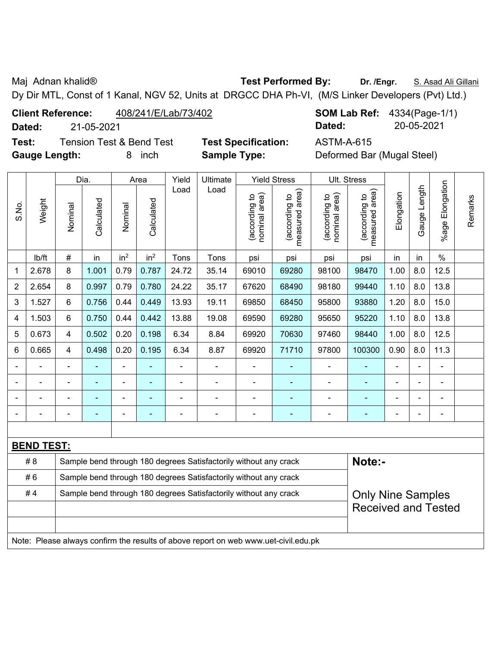Maj Adnan khalid® **Test Performed By: Dr. /Engr.** S. Asad Ali Gillani

Dy Dir MTL, Const of 1 Kanal, NGV 52, Units at DRGCC DHA Ph-VI, (M/S Linker Developers (Pvt) Ltd.)

**Client Reference:** 408/241/E/Lab/73/402 **SOM Lab Ref:** 4334(Page-1/1)

**Gauge Length:** 8 inch **Sample Type:** Deformed Bar (Mugal Steel)

**Dated:** 21-05-2021 **Dated:** 20-05-2021

|                |                                                                                     |                                                                                              | Dia.                                                             |                 | Area            | Yield<br>Ultimate<br><b>Yield Stress</b> |                                                                  |                                | Ult. Stress                     |                                |                                 |                |              |                          |         |
|----------------|-------------------------------------------------------------------------------------|----------------------------------------------------------------------------------------------|------------------------------------------------------------------|-----------------|-----------------|------------------------------------------|------------------------------------------------------------------|--------------------------------|---------------------------------|--------------------------------|---------------------------------|----------------|--------------|--------------------------|---------|
| S.No.          | Weight                                                                              | Nominal                                                                                      | Calculated                                                       | Nominal         | Calculated      | Load                                     | Load                                                             | nominal area)<br>(according to | (according to<br>measured area) | nominal area)<br>(according to | (according to<br>measured area) | Elongation     | Gauge Length | %age Elongation          | Remarks |
|                | lb/ft                                                                               | $\#$                                                                                         | in                                                               | in <sup>2</sup> | in <sup>2</sup> | Tons                                     | Tons                                                             | psi                            | psi                             | psi                            | psi                             | in             | in           | $\%$                     |         |
| 1              | 2.678                                                                               | 8                                                                                            | 1.001                                                            | 0.79            | 0.787           | 24.72                                    | 35.14                                                            | 69010                          | 69280                           | 98100                          | 98470                           | 1.00           | 8.0          | 12.5                     |         |
| $\overline{2}$ | 2.654                                                                               | 8                                                                                            | 0.997                                                            | 0.79            | 0.780           | 24.22                                    | 35.17                                                            | 67620                          | 68490                           | 98180                          | 99440                           | 1.10           | 8.0          | 13.8                     |         |
| 3              | 1.527                                                                               | 6                                                                                            | 0.756                                                            | 0.44            | 0.449           | 13.93                                    | 19.11                                                            | 69850                          | 68450                           | 95800                          | 93880                           | 1.20           | 8.0          | 15.0                     |         |
| 4              | 1.503                                                                               | 6                                                                                            | 0.750                                                            | 0.44            | 0.442           | 13.88                                    | 19.08                                                            | 69590                          | 69280                           | 95650                          | 95220                           | 1.10           | 8.0          | 13.8                     |         |
| 5              | 0.673                                                                               | 4                                                                                            | 0.502                                                            | 0.20            | 0.198           | 6.34                                     | 8.84                                                             | 69920                          | 70630                           | 97460                          | 98440                           | 1.00           | 8.0          | 12.5                     |         |
| 6              | 0.665                                                                               | 4                                                                                            | 0.498                                                            | 0.20            | 0.195           | 6.34                                     | 8.87                                                             | 69920                          | 71710                           | 97800                          | 100300                          | 0.90           | 8.0          | 11.3                     |         |
|                |                                                                                     | $\blacksquare$                                                                               | ä,                                                               | $\blacksquare$  | ٠               | $\blacksquare$                           | $\blacksquare$                                                   | $\blacksquare$                 | $\overline{\phantom{0}}$        | $\blacksquare$                 | $\blacksquare$                  | $\blacksquare$ |              | ä,                       |         |
|                |                                                                                     |                                                                                              |                                                                  | $\blacksquare$  |                 |                                          |                                                                  | ÷                              |                                 | $\blacksquare$                 | $\blacksquare$                  |                |              |                          |         |
|                |                                                                                     |                                                                                              |                                                                  |                 |                 |                                          |                                                                  |                                |                                 | $\blacksquare$                 | ۳                               |                |              |                          |         |
|                |                                                                                     |                                                                                              |                                                                  |                 |                 |                                          |                                                                  |                                |                                 | Ē,                             | -                               |                |              | $\overline{\phantom{0}}$ |         |
|                |                                                                                     |                                                                                              |                                                                  |                 |                 |                                          |                                                                  |                                |                                 |                                |                                 |                |              |                          |         |
|                | <b>BEND TEST:</b>                                                                   |                                                                                              |                                                                  |                 |                 |                                          |                                                                  |                                |                                 |                                |                                 |                |              |                          |         |
|                | # 8                                                                                 |                                                                                              |                                                                  |                 |                 |                                          | Sample bend through 180 degrees Satisfactorily without any crack |                                |                                 |                                | Note:-                          |                |              |                          |         |
|                | #6                                                                                  |                                                                                              | Sample bend through 180 degrees Satisfactorily without any crack |                 |                 |                                          |                                                                  |                                |                                 |                                |                                 |                |              |                          |         |
|                | #4                                                                                  | Sample bend through 180 degrees Satisfactorily without any crack<br><b>Only Nine Samples</b> |                                                                  |                 |                 |                                          |                                                                  |                                |                                 |                                |                                 |                |              |                          |         |
|                | <b>Received and Tested</b>                                                          |                                                                                              |                                                                  |                 |                 |                                          |                                                                  |                                |                                 |                                |                                 |                |              |                          |         |
|                |                                                                                     |                                                                                              |                                                                  |                 |                 |                                          |                                                                  |                                |                                 |                                |                                 |                |              |                          |         |
|                | Note: Please always confirm the results of above report on web www.uet-civil.edu.pk |                                                                                              |                                                                  |                 |                 |                                          |                                                                  |                                |                                 |                                |                                 |                |              |                          |         |

**Test:** Tension Test & Bend Test **Test Specification:** ASTM-A-615